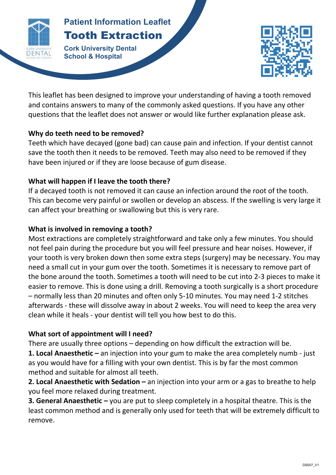

# **Patient Information Leaflet** Tooth Extraction

**Patient Information Leaflett Information Leaflett Information Leaflett Information Leaflett Information Leaflett Information Leaflett Information Leaflett Information Leaflett Information Leaflett Information Leaflett Inf TOOTH EXTRACTION Cork University Dental School & Hospital**



This leaflet has been designed to improve your understanding of having a tooth removed and contains answers to many of the commonly asked questions. If you have any other questions that the leaflet does not answer or would like further explanation please ask.

#### **Why do teeth need to be removed?**

Teeth which have decayed (gone bad) can cause pain and infection. If your dentist cannot save the tooth then it needs to be removed. Teeth may also need to be removed if they have been injured or if they are loose because of gum disease.

## **What will happen if I leave the tooth there?**

If a decayed tooth is not removed it can cause an infection around the root of the tooth. This can become very painful or swollen or develop an abscess. If the swelling is very large it can affect your breathing or swallowing but this is very rare.

## **What is involved in removing a tooth?**

Most extractions are completely straightforward and take only a few minutes. You should not feel pain during the procedure but you will feel pressure and hear noises. However, if your tooth is very broken down then some extra steps (surgery) may be necessary. You may need a small cut in your gum over the tooth. Sometimes it is necessary to remove part of the bone around the tooth. Sometimes a tooth will need to be cut into 2-3 pieces to make it easier to remove. This is done using a drill. Removing a tooth surgically is a short procedure – normally less than 20 minutes and often only 5-10 minutes. You may need 1-2 stitches afterwards - these will dissolve away in about 2 weeks. You will need to keep the area very clean while it heals - your dentist will tell you how best to do this.

# **What sort of appointment will I need?**

There are usually three options – depending on how difficult the extraction will be.

**1. Local Anaesthetic –** an injection into your gum to make the area completely numb - just as you would have for a filling with your own dentist. This is by far the most common method and suitable for almost all teeth.

**2. Local Anaesthetic with Sedation –** an injection into your arm or a gas to breathe to help you feel more relaxed during treatment.

**3. General Anaesthetic –** you are put to sleep completely in a hospital theatre. This is the least common method and is generally only used for teeth that will be extremely difficult to remove.